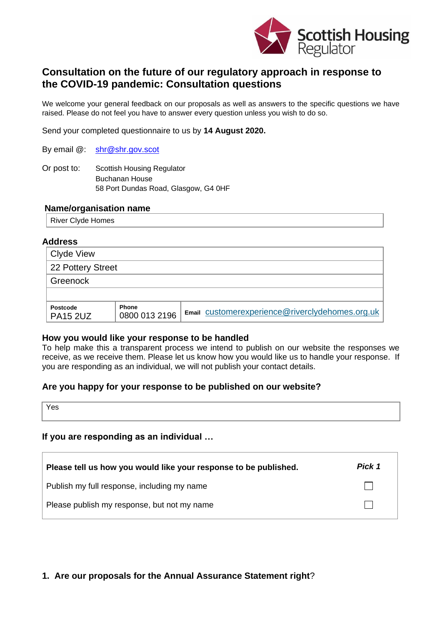

# **Consultation on the future of our regulatory approach in response to the COVID-19 pandemic: Consultation questions**

We welcome your general feedback on our proposals as well as answers to the specific questions we have raised. Please do not feel you have to answer every question unless you wish to do so.

Send your completed questionnaire to us by **14 August 2020.**

By email @: [shr@shr.gov.scot](mailto:shr@shr.gov.scot)

Or post to: Scottish Housing Regulator Buchanan House 58 Port Dundas Road, Glasgow, G4 0HF

#### **Name/organisation name**

River Clyde Homes

#### **Address**

| Clyde View                         |                               |                                                 |  |  |
|------------------------------------|-------------------------------|-------------------------------------------------|--|--|
| 22 Pottery Street                  |                               |                                                 |  |  |
| Greenock                           |                               |                                                 |  |  |
|                                    |                               |                                                 |  |  |
| <b>Postcode</b><br><b>PA15 2UZ</b> | <b>Phone</b><br>0800 013 2196 | Email customerexperience@riverclydehomes.org.uk |  |  |

#### **How you would like your response to be handled**

To help make this a transparent process we intend to publish on our website the responses we receive, as we receive them. Please let us know how you would like us to handle your response. If you are responding as an individual, we will not publish your contact details.

### **Are you happy for your response to be published on our website?**

Yes

### **If you are responding as an individual …**

| Please tell us how you would like your response to be published. | Pick 1 |
|------------------------------------------------------------------|--------|
| Publish my full response, including my name                      |        |
| Please publish my response, but not my name                      |        |

### **1. Are our proposals for the Annual Assurance Statement right**?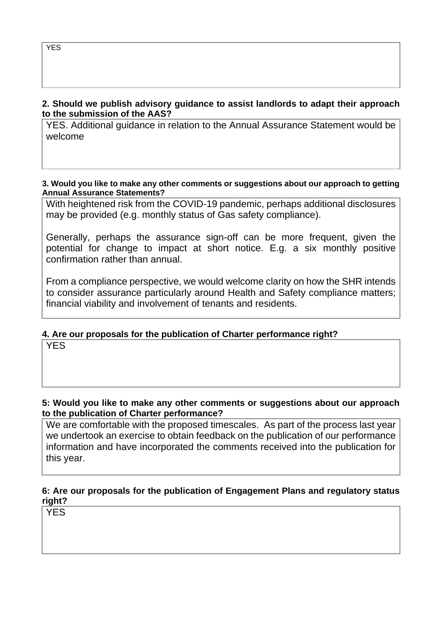## **2. Should we publish advisory guidance to assist landlords to adapt their approach to the submission of the AAS?**

YES. Additional guidance in relation to the Annual Assurance Statement would be welcome

### **3. Would you like to make any other comments or suggestions about our approach to getting Annual Assurance Statements?**

With heightened risk from the COVID-19 pandemic, perhaps additional disclosures may be provided (e.g. monthly status of Gas safety compliance).

Generally, perhaps the assurance sign-off can be more frequent, given the potential for change to impact at short notice. E.g. a six monthly positive confirmation rather than annual.

From a compliance perspective, we would welcome clarity on how the SHR intends to consider assurance particularly around Health and Safety compliance matters; financial viability and involvement of tenants and residents.

# **4. Are our proposals for the publication of Charter performance right?**

**YES** 

## **5: Would you like to make any other comments or suggestions about our approach to the publication of Charter performance?**

We are comfortable with the proposed timescales. As part of the process last year we undertook an exercise to obtain feedback on the publication of our performance information and have incorporated the comments received into the publication for this year.

# **6: Are our proposals for the publication of Engagement Plans and regulatory status right?**

YES